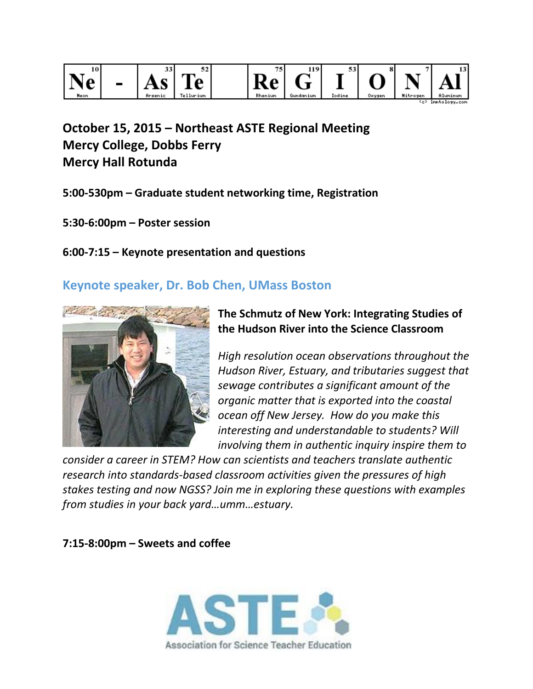

**October 15, 2015 – Northeast ASTE Regional Meeting Mercy College, Dobbs Ferry Mercy Hall Rotunda**

- **5:00-530pm – Graduate student networking time, Registration**
- **5:30-6:00pm – Poster session**

# **6:00-7:15 – Keynote presentation and questions**

# **Keynote speaker, Dr. Bob Chen, UMass Boston**



# **The Schmutz of New York: Integrating Studies of the Hudson River into the Science Classroom**

*High resolution ocean observations throughout the Hudson River, Estuary, and tributaries suggest that sewage contributes a significant amount of the organic matter that is exported into the coastal ocean off New Jersey. How do you make this interesting and understandable to students? Will involving them in authentic inquiry inspire them to* 

*consider a career in STEM? How can scientists and teachers translate authentic research into standards-based classroom activities given the pressures of high stakes testing and now NGSS? Join me in exploring these questions with examples from studies in your back yard…umm…estuary.*

## **7:15-8:00pm – Sweets and coffee**

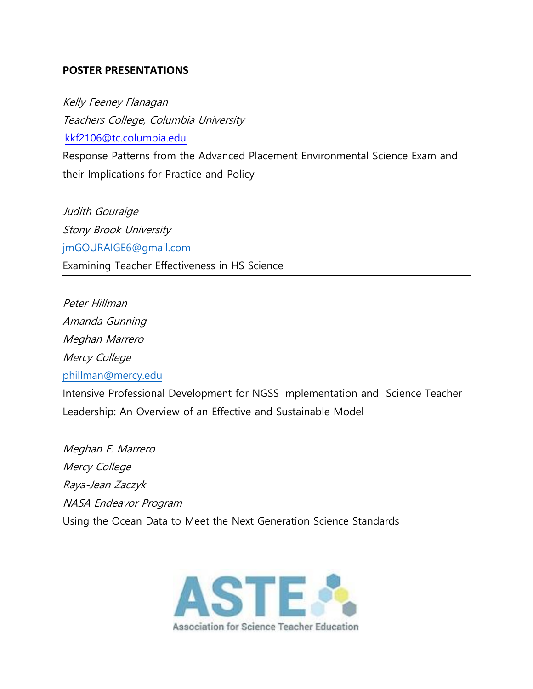#### **POSTER PRESENTATIONS**

Kelly Feeney Flanagan Teachers College, Columbia University [kkf2106@tc.columbia.edu](mailto:jo32@columbia.edu) Response Patterns from the Advanced Placement Environmental Science Exam and their Implications for Practice and Policy

Judith Gouraige Stony Brook University [jmGOURAIGE6@gmail.com](mailto:jmGOURAIGE6@gmail.com) Examining Teacher Effectiveness in HS Science

Peter Hillman Amanda Gunning Meghan Marrero Mercy College [phillman@mercy.edu](mailto:phillman@mercy.edu) Intensive Professional Development for NGSS Implementation and Science Teacher Leadership: An Overview of an Effective and Sustainable Model

Meghan E. Marrero Mercy College Raya-Jean Zaczyk NASA Endeavor Program Using the Ocean Data to Meet the Next Generation Science Standards

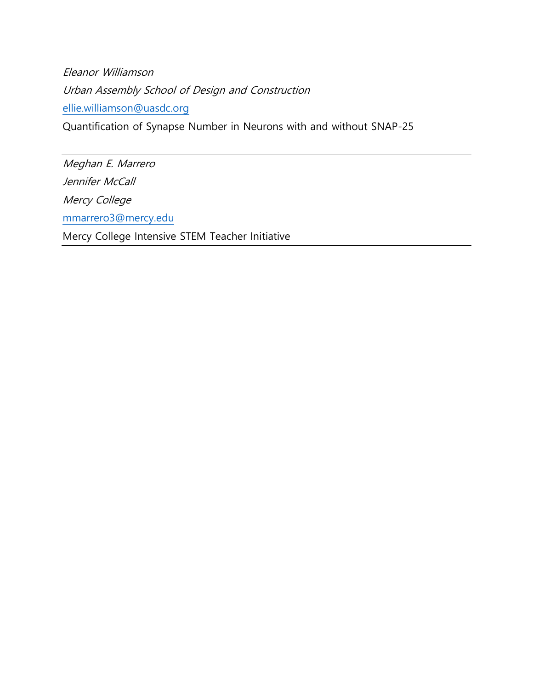Eleanor Williamson Urban Assembly School of Design and Construction [ellie.williamson@uasdc.org](mailto:ellie.williamson@uasdc.org)

Quantification of Synapse Number in Neurons with and without SNAP-25

Meghan E. Marrero Jennifer McCall Mercy College [mmarrero3@mercy.edu](mailto:mmarrero3@mercy.edu) Mercy College Intensive STEM Teacher Initiative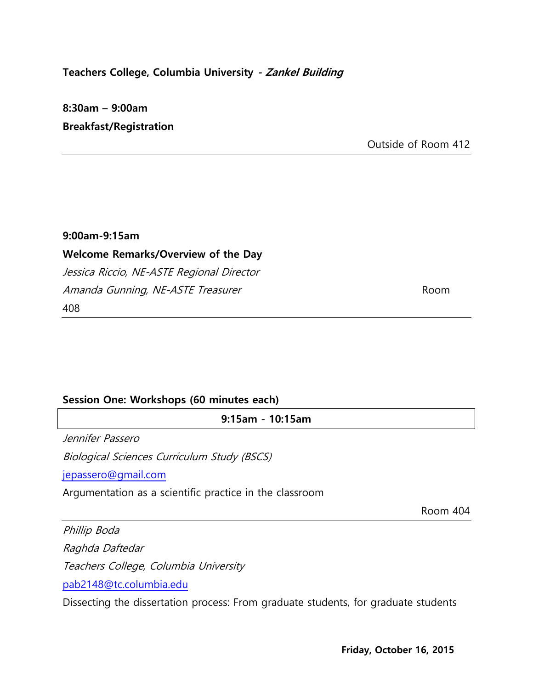## **Teachers College, Columbia University - Zankel Building**

# **8:30am – 9:00am Breakfast/Registration**

Outside of Room 412

### **9:00am-9:15am**

# **Welcome Remarks/Overview of the Day**

Jessica Riccio, NE-ASTE Regional Director Amanda Gunning, NE-ASTE Treasurer **Room** 408

#### **Session One: Workshops (60 minutes each)**

**9:15am - 10:15am**

Jennifer Passero

Biological Sciences Curriculum Study (BSCS)

[jepassero@gmail.com](mailto:jo32@columbia.edu) 

Argumentation as a scientific practice in the classroom

Room 404

Phillip Boda

Raghda Daftedar

Teachers College, Columbia University

[pab2148@tc.columbia.edu](mailto:pab2148@tc.columbia.edu)

Dissecting the dissertation process: From graduate students, for graduate students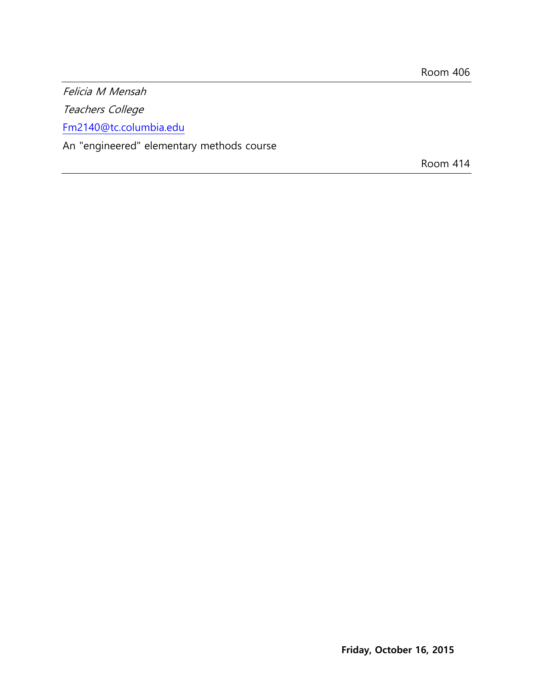Felicia M Mensah

Teachers College

[Fm2140@tc.columbia.edu](mailto:Fm2140@tc.columbia.edu)

An "engineered" elementary methods course

Room 414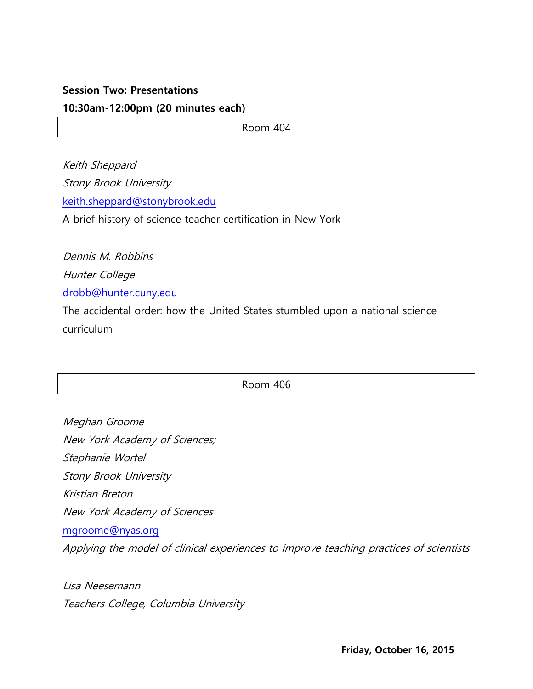### **Session Two: Presentations**

### **10:30am-12:00pm (20 minutes each)**

Room 404

Keith Sheppard Stony Brook University [keith.sheppard@stonybrook.edu](mailto:jo32@columbia.edu)

A brief history of science teacher certification in New York

Dennis M. Robbins Hunter College [drobb@hunter.cuny.edu](mailto:fm2140@tc.columbia.edu)

The accidental order: how the United States stumbled upon a national science curriculum

Room 406

Meghan Groome New York Academy of Sciences; Stephanie Wortel Stony Brook University Kristian Breton New York Academy of Sciences [mgroome@nyas.org](mailto:dec2142@columbia.edu) Applying the model of clinical experiences to improve teaching practices of scientists

Lisa Neesemann Teachers College, Columbia University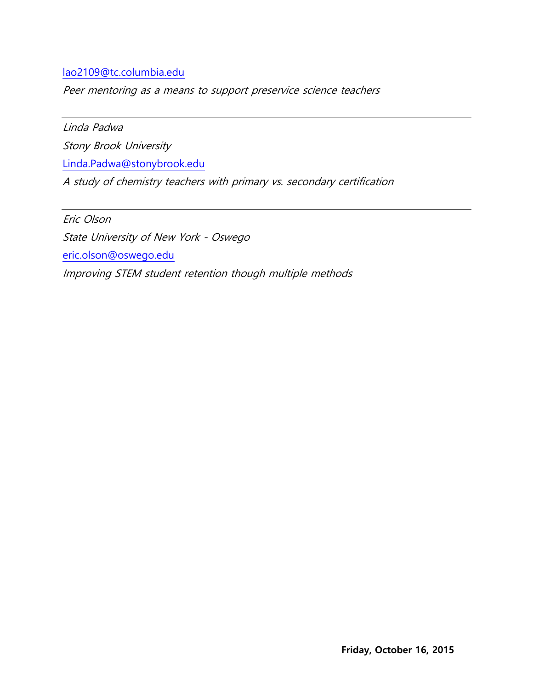## [lao2109@tc.columbia.edu](mailto:lao2109@tc.columbia.edu)

Peer mentoring as a means to support preservice science teachers

Linda Padwa

Stony Brook University

[Linda.Padwa@stonybrook.edu](mailto:angela.kelly@stonybrook.edu)

A study of chemistry teachers with primary vs. secondary certification

Eric Olson State University of New York - Oswego [eric.olson@oswego.edu](mailto:grl@umich.edu) Improving STEM student retention though multiple methods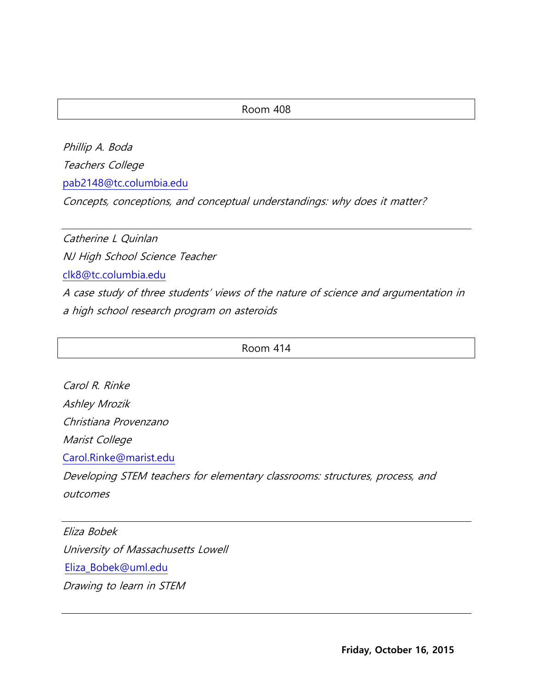#### Room 408

Phillip A. Boda Teachers College [pab2148@tc.columbia.edu](mailto:pab2148@tc.columbia.edu) Concepts, conceptions, and conceptual understandings: why does it matter?

Catherine L Quinlan NJ High School Science Teacher [clk8@tc.columbia.edu](mailto:clk8@tc.columbia.edu) A case study of three students' views of the nature of science and argumentation in a high school research program on asteroids

Room 414

Carol R. Rinke Ashley Mrozik Christiana Provenzano Marist College [Carol.Rinke@marist.edu](mailto:Carol.Rinke@marist.edu) Developing STEM teachers for elementary classrooms: structures, process, and outcomes

Eliza Bobek University of Massachusetts Lowell [Eliza\\_Bobek@uml.edu](mailto:angela.kelly@stonybrook.edu) Drawing to learn in STEM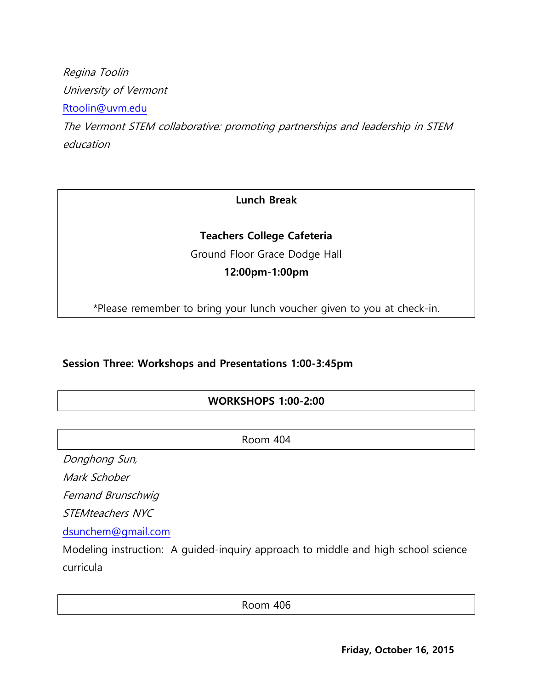Regina Toolin University of Vermont [Rtoolin@uvm.edu](mailto:Rtoolin@uvm.edu) The Vermont STEM collaborative: promoting partnerships and leadership in STEM education

## **Lunch Break**

## **Teachers College Cafeteria**

Ground Floor Grace Dodge Hall

## **12:00pm-1:00pm**

\*Please remember to bring your lunch voucher given to you at check-in.

## **Session Three: Workshops and Presentations 1:00-3:45pm**

## **WORKSHOPS 1:00-2:00**

Room 404

Donghong Sun,

Mark Schober

Fernand Brunschwig

STEMteachers NYC

[dsunchem@gmail.com](mailto:dsunchem@gmail.com)

Modeling instruction: A guided-inquiry approach to middle and high school science curricula

Room 406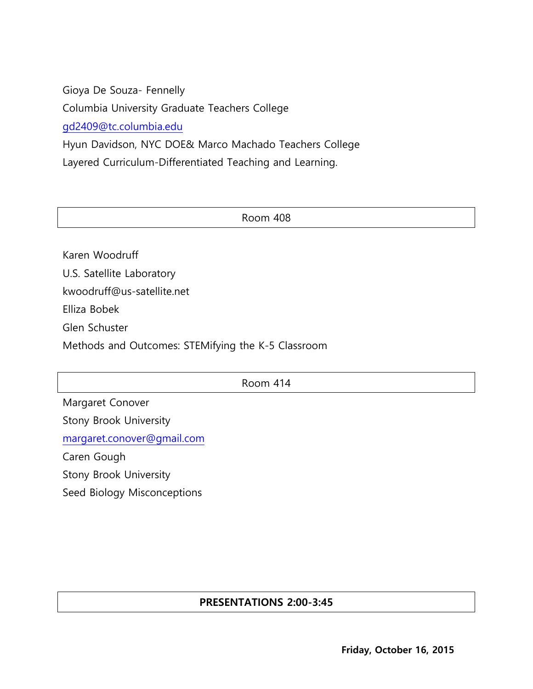Gioya De Souza- Fennelly Columbia University Graduate Teachers College [gd2409@tc.columbia.edu](mailto:gd2409@tc.columbia.edu) Hyun Davidson, NYC DOE& Marco Machado Teachers College Layered Curriculum-Differentiated Teaching and Learning.

Room 408

Karen Woodruff U.S. Satellite Laboratory kwoodruff@us-satellite.net Elliza Bobek Glen Schuster Methods and Outcomes: STEMifying the K-5 Classroom

Room 414

Margaret Conover Stony Brook University [margaret.conover@gmail.com](mailto:margaret.conover@gmail.com) Caren Gough Stony Brook University

Seed Biology Misconceptions

## **PRESENTATIONS 2:00-3:45**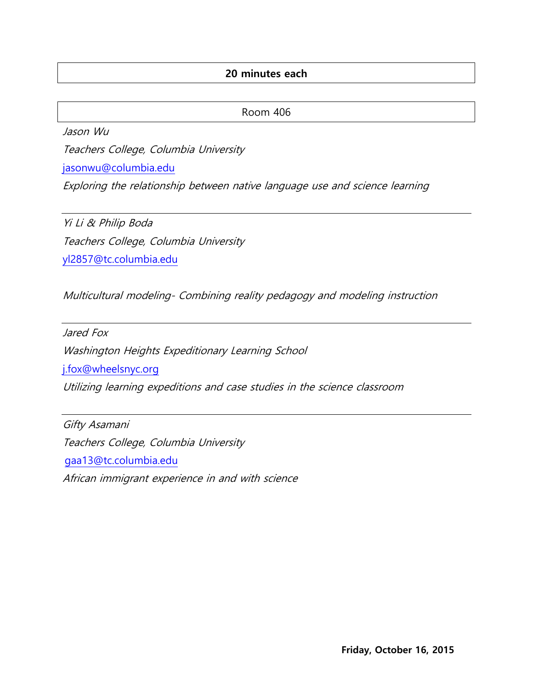## **20 minutes each**

Room 406

Jason Wu

Teachers College, Columbia University

[jasonwu@columbia.edu](mailto:dec2142@columbia.edu) 

Exploring the relationship between native language use and science learning

Yi Li & Philip Boda Teachers College, Columbia University [yl2857@tc.columbia.edu](mailto:yl2857@tc.columbia.edu)

Multicultural modeling- Combining reality pedagogy and modeling instruction

Jared Fox Washington Heights Expeditionary Learning School [j.fox@wheelsnyc.org](mailto:j.fox@wheelsnyc.org)

Utilizing learning expeditions and case studies in the science classroom

Gifty Asamani Teachers College, Columbia University [gaa13@tc.columbia.edu](mailto:grl@umich.edu) African immigrant experience in and with science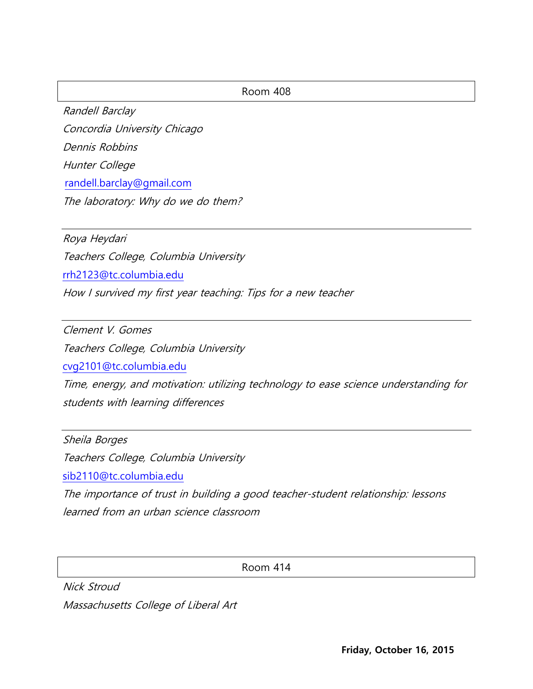#### Room 408

Randell Barclay Concordia University Chicago Dennis Robbins Hunter College [randell.barclay@gmail.com](mailto:pab2148@tc.columbia.edu) The laboratory: Why do we do them?

Roya Heydari Teachers College, Columbia University [rrh2123@tc.columbia.edu](mailto:rrh2123@tc.columbia.edu) How I survived my first year teaching: Tips for a new teacher

Clement V. Gomes Teachers College, Columbia University [cvg2101@tc.columbia.edu](mailto:cvg2101@tc.columbia.edu)

Time, energy, and motivation: utilizing technology to ease science understanding for students with learning differences

Sheila Borges Teachers College, Columbia University [sib2110@tc.columbia.edu](mailto:sib2110@tc.columbia.edu) The importance of trust in building a good teacher-student relationship: lessons learned from an urban science classroom

Room 414

Nick Stroud Massachusetts College of Liberal Art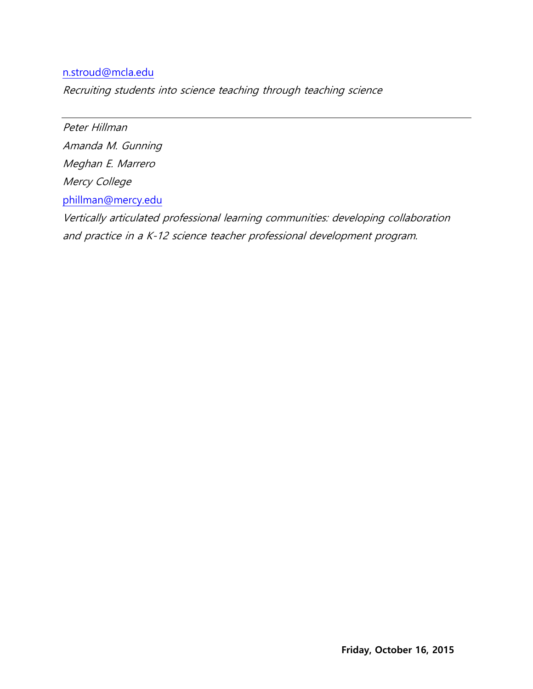### [n.stroud@mcla.edu](mailto:n.stroud@mcla.edu)

Recruiting students into science teaching through teaching science

Peter Hillman Amanda M. Gunning Meghan E. Marrero Mercy College [phillman@mercy.edu](mailto:darcy.ronan@gmail.com) Vertically articulated professional learning communities: developing collaboration and practice in a K-12 science teacher professional development program.